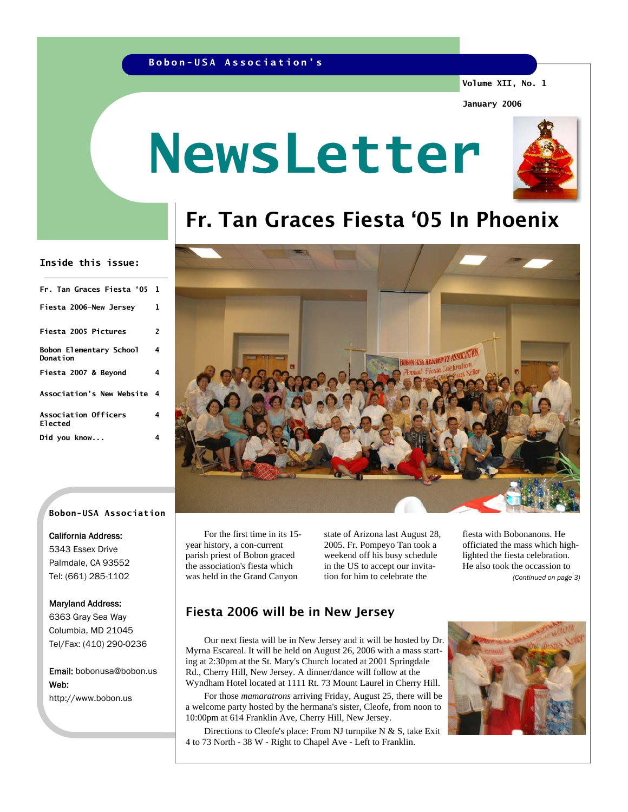## **Bobon-USA Association's**

**Volume XII, No. 1** 

**January 2006** 

# **NewsLetter**



# Fr. Tan Graces Fiesta '05 In Phoenix

### **Inside this issue:**

| Fr. Tan Graces Fiesta'05                      | 1 |
|-----------------------------------------------|---|
| Fiesta 2006-New Jersey                        | 1 |
| Fiesta 2005 Pictures                          | 2 |
| Bobon Elementary School<br>Donation           | 4 |
| Fiesta 2007 & Bevond                          | 4 |
| <b>Association's New Website</b>              | 4 |
| <b>Association Officers</b><br><b>Elected</b> | 4 |
| Did you know                                  | 4 |



### **Bobon-USA Association**

### California Address:

5343 Essex Drive Palmdale, CA 93552 Tel: (661) 285-1102

### Maryland Address:

6363 Gray Sea Way Columbia, MD 21045 Tel/Fax: (410) 290-0236

Email: bobonusa@bobon.us Web: http://www.bobon.us

 For the first time in its 15 year history, a con-current parish priest of Bobon graced the association's fiesta which was held in the Grand Canyon

state of Arizona last August 28, 2005. Fr. Pompeyo Tan took a weekend off his busy schedule in the US to accept our invitation for him to celebrate the

fiesta with Bobonanons. He officiated the mass which highlighted the fiesta celebration. He also took the occassion to *(Continued on page 3)* 

# Fiesta 2006 will be in New Jersey

 Our next fiesta will be in New Jersey and it will be hosted by Dr. Myrna Escareal. It will be held on August 26, 2006 with a mass starting at 2:30pm at the St. Mary's Church located at 2001 Springdale Rd., Cherry Hill, New Jersey. A dinner/dance will follow at the Wyndham Hotel located at 1111 Rt. 73 Mount Laurel in Cherry Hill.

 For those *mamaratrons* arriving Friday, August 25, there will be a welcome party hosted by the hermana's sister, Cleofe, from noon to 10:00pm at 614 Franklin Ave, Cherry Hill, New Jersey.

 Directions to Cleofe's place: From NJ turnpike N & S, take Exit 4 to 73 North - 38 W - Right to Chapel Ave - Left to Franklin.

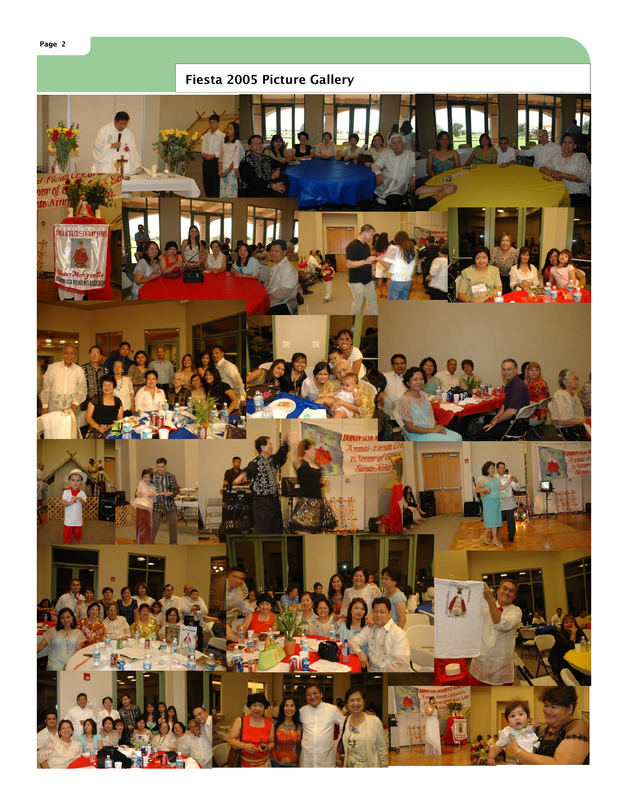

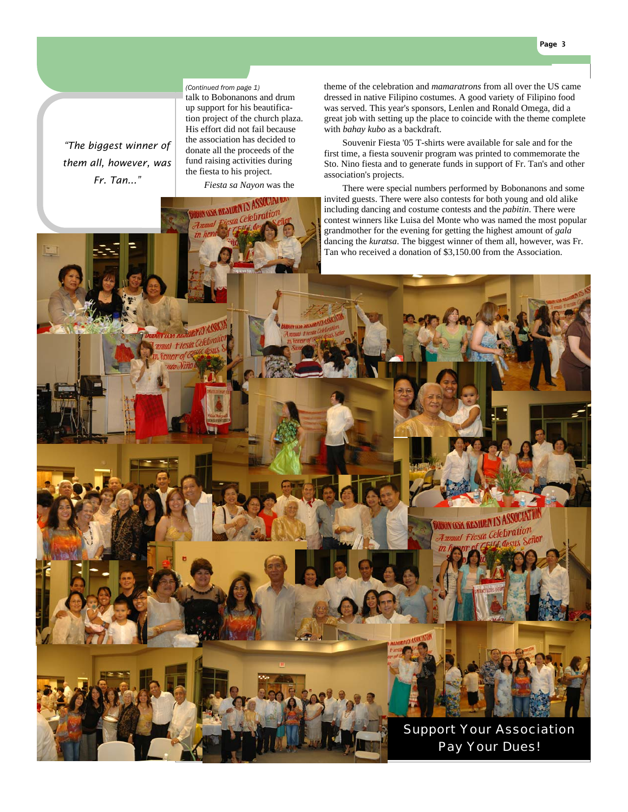**Page 3** 

#### *(Continued from page 1)*

*"The biggest winner of them all, however, was Fr. Tan..."* 

talk to Bobonanons and drum up support for his beautification project of the church plaza. His effort did not fail because the association has decided to donate all the proceeds of the fund raising activities during the fiesta to his project.

**NEQUANTS!** 

*Fiesta sa Nayon* was the

theme of the celebration and *mamaratrons* from all over the US came dressed in native Filipino costumes. A good variety of Filipino food was served. This year's sponsors, Lenlen and Ronald Omega, did a great job with setting up the place to coincide with the theme complete with *bahay kubo* as a backdraft.

 Souvenir Fiesta '05 T-shirts were available for sale and for the first time, a fiesta souvenir program was printed to commemorate the Sto. Nino fiesta and to generate funds in support of Fr. Tan's and other association's projects.

 There were special numbers performed by Bobonanons and some invited guests. There were also contests for both young and old alike including dancing and costume contests and the *pabitin*. There were contest winners like Luisa del Monte who was named the most popular grandmother for the evening for getting the highest amount of *gala* dancing the *kuratsa*. The biggest winner of them all, however, was Fr. Tan who received a donation of \$3,150.00 from the Association.

# *KENHUEN* I.



Support Your Association Pay Your Dues!